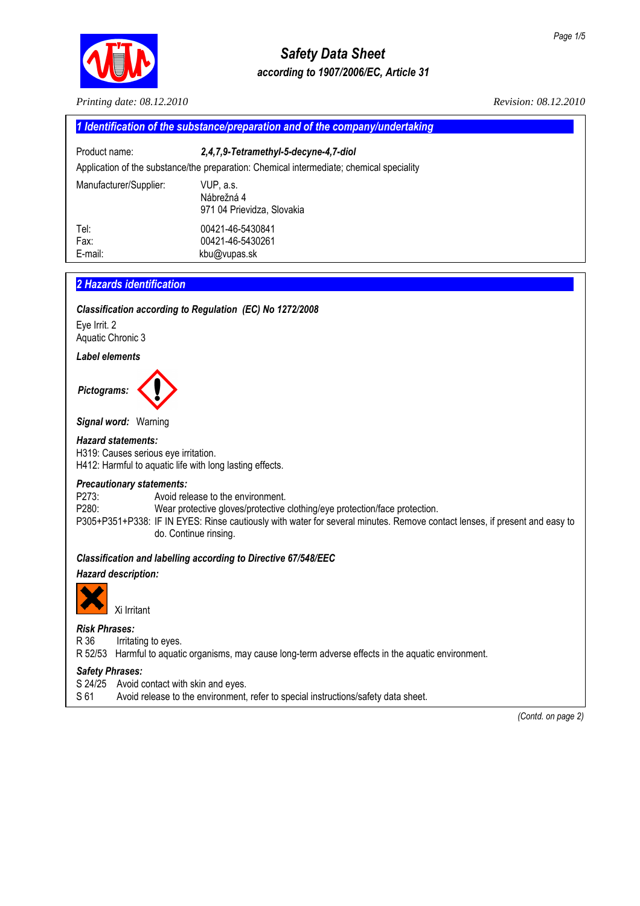

# *Safety Data Sheet according to 1907/2006/EC, Article 31*

*Printing date: 08.12.2010 Revision: 08.12.2010* 

| 1 Identification of the substance/preparation and of the company/undertaking |                                                                                                                                   |  |
|------------------------------------------------------------------------------|-----------------------------------------------------------------------------------------------------------------------------------|--|
| Product name:                                                                | 2,4,7,9-Tetramethyl-5-decyne-4,7-diol<br>Application of the substance/the preparation: Chemical intermediate; chemical speciality |  |
|                                                                              |                                                                                                                                   |  |
| Manufacturer/Supplier:                                                       | VUP, a.s.<br>Nábrežná 4<br>971 04 Prievidza, Slovakia                                                                             |  |
| Tel:                                                                         | 00421-46-5430841                                                                                                                  |  |
| Fax:                                                                         | 00421-46-5430261                                                                                                                  |  |
| E-mail:                                                                      | kbu@vupas.sk                                                                                                                      |  |

# **2 Hazards identification**

### *Classification according to Regulation (EC) No 1272/2008*

Eye Irrit. 2 Aquatic Chronic 3

#### *Label elements*



*Signal word:* Warning

#### *Hazard statements:*

H319: Causes serious eye irritation. H412: Harmful to aquatic life with long lasting effects.

### *Precautionary statements:*

P273: Avoid release to the environment. P280: Wear protective gloves/protective clothing/eye protection/face protection. P305+P351+P338: IF IN EYES: Rinse cautiously with water for several minutes. Remove contact lenses, if present and easy to do. Continue rinsing.

## *Classification and labelling according to Directive 67/548/EEC*

## *Hazard description:*



Xi Irritant

# *Risk Phrases:*

R 36 Irritating to eyes.

R 52/53 Harmful to aquatic organisms, may cause long-term adverse effects in the aquatic environment.

### *Safety Phrases:*

- S 24/25 Avoid contact with skin and eyes.
- S 61 Avoid release to the environment, refer to special instructions/safety data sheet.

 *(Contd. on page 2)*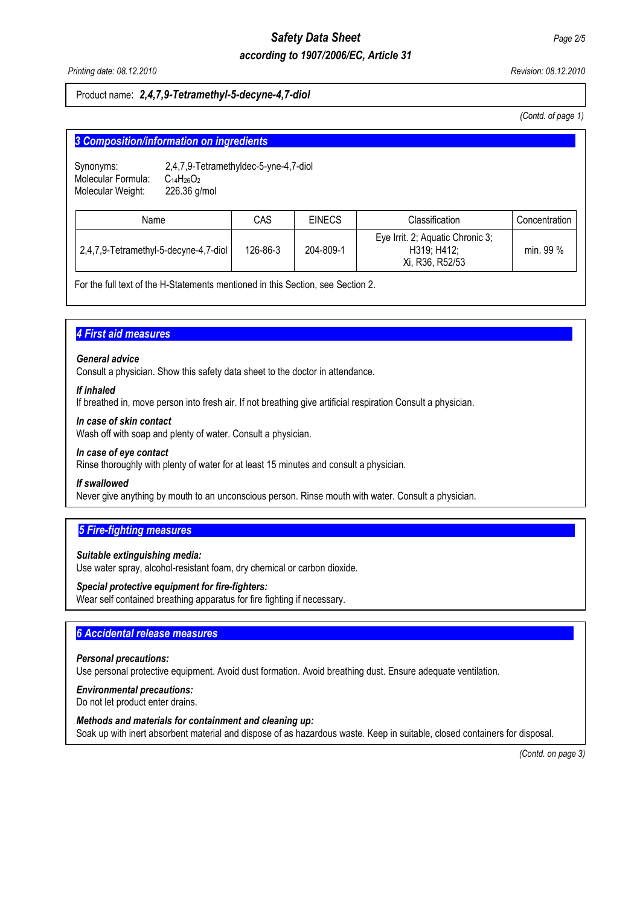# *Safety Data Sheet Page 2/5 according to 1907/2006/EC, Article 31*

*Printing date: 08.12.2010 Revision: 08.12.2010* 

## Product name: *2,4,7,9-Tetramethyl-5-decyne-4,7-diol*

*(Contd. of page 1)* 

| 3 Composition/information on ingredients                                      |                                                                     |          |               |                                                                    |               |
|-------------------------------------------------------------------------------|---------------------------------------------------------------------|----------|---------------|--------------------------------------------------------------------|---------------|
| Synonyms:<br>Molecular Formula:<br>Molecular Weight:                          | 2,4,7,9-Tetramethyldec-5-yne-4,7-diol<br>$C14H26O2$<br>226.36 g/mol |          |               |                                                                    |               |
| Name                                                                          |                                                                     | CAS      | <b>EINECS</b> | Classification                                                     | Concentration |
| 2,4,7,9-Tetramethyl-5-decyne-4,7-diol                                         |                                                                     | 126-86-3 | 204-809-1     | Eye Irrit. 2; Aquatic Chronic 3;<br>H319; H412;<br>Xi, R36, R52/53 | min. 99 %     |
| For the full text of the H-Statements mentioned in this Section see Section 2 |                                                                     |          |               |                                                                    |               |

For the full text of the H-Statements mentioned in this Section, see Section 2.

# **4 First aid measures**

### *General advice*

Consult a physician. Show this safety data sheet to the doctor in attendance.

#### *If inhaled*

If breathed in, move person into fresh air. If not breathing give artificial respiration Consult a physician.

#### *In case of skin contact*

Wash off with soap and plenty of water. Consult a physician.

#### *In case of eye contact*

Rinse thoroughly with plenty of water for at least 15 minutes and consult a physician.

### *If swallowed*

Never give anything by mouth to an unconscious person. Rinse mouth with water. Consult a physician.

# **5 Fire-fighting measures**

### *Suitable extinguishing media:*

Use water spray, alcohol-resistant foam, dry chemical or carbon dioxide.

### *Special protective equipment for fire-fighters:*

Wear self contained breathing apparatus for fire fighting if necessary.

# **6 Accidental release measures**

# *Personal precautions:*

Use personal protective equipment. Avoid dust formation. Avoid breathing dust. Ensure adequate ventilation.

### *Environmental precautions:*

Do not let product enter drains.

### *Methods and materials for containment and cleaning up:*

Soak up with inert absorbent material and dispose of as hazardous waste. Keep in suitable, closed containers for disposal.

 *(Contd. on page 3)*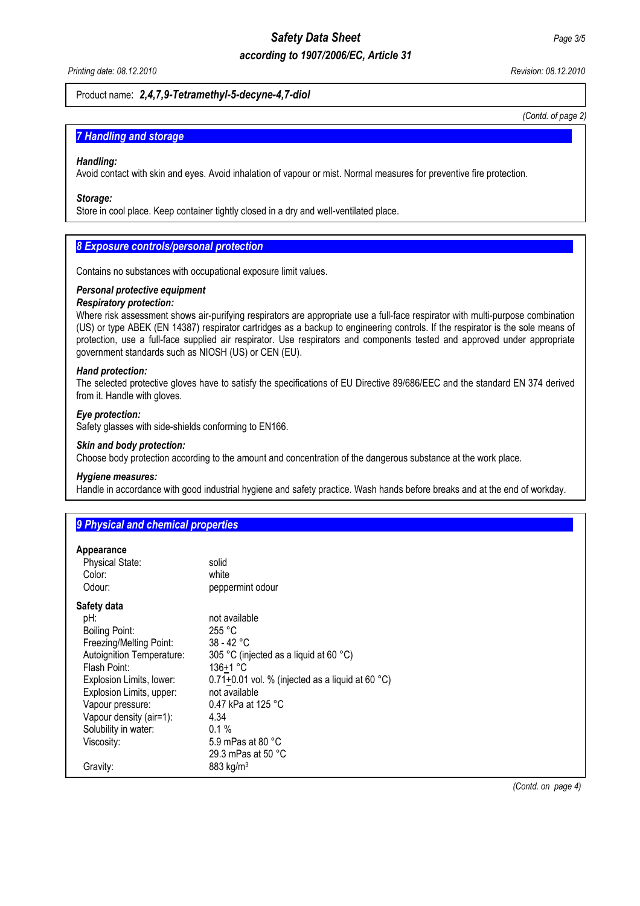# *Safety Data Sheet Page 3/5*

# *according to 1907/2006/EC, Article 31*

*Printing date: 08.12.2010 Revision: 08.12.2010* 

## Product name: *2,4,7,9-Tetramethyl-5-decyne-4,7-diol*

*(Contd. of page 2)*

## **7 Handling and storage**

#### *Handling:*

Avoid contact with skin and eyes. Avoid inhalation of vapour or mist. Normal measures for preventive fire protection.

#### *Storage:*

Store in cool place. Keep container tightly closed in a dry and well-ventilated place.

# **8 Exposure controls/personal protection**

Contains no substances with occupational exposure limit values.

## *Personal protective equipment*

### *Respiratory protection:*

Where risk assessment shows air-purifying respirators are appropriate use a full-face respirator with multi-purpose combination (US) or type ABEK (EN 14387) respirator cartridges as a backup to engineering controls. If the respirator is the sole means of protection, use a full-face supplied air respirator. Use respirators and components tested and approved under appropriate government standards such as NIOSH (US) or CEN (EU).

#### *Hand protection:*

The selected protective gloves have to satisfy the specifications of EU Directive 89/686/EEC and the standard EN 374 derived from it. Handle with gloves.

## *Eye protection:*

Safety glasses with side-shields conforming to EN166.

#### *Skin and body protection:*

Choose body protection according to the amount and concentration of the dangerous substance at the work place.

#### *Hygiene measures:*

Handle in accordance with good industrial hygiene and safety practice. Wash hands before breaks and at the end of workday.

# **9 Physical and chemical properties...**

#### **Appearance**

| <b>Physical State:</b>    | solid                                              |
|---------------------------|----------------------------------------------------|
| Color:                    | white                                              |
| Odour:                    | peppermint odour                                   |
| Safety data               |                                                    |
| pH:                       | not available                                      |
| Boiling Point:            | 255 °C                                             |
| Freezing/Melting Point:   | $38 - 42 °C$                                       |
| Autoignition Temperature: | 305 °C (injected as a liquid at 60 °C)             |
| Flash Point:              | $136+1 °C$                                         |
| Explosion Limits, lower:  | $0.71+0.01$ vol. % (injected as a liquid at 60 °C) |
| Explosion Limits, upper:  | not available                                      |
| Vapour pressure:          | 0.47 kPa at 125 °C                                 |
| Vapour density (air=1):   | 4.34                                               |
| Solubility in water:      | $0.1\%$                                            |
| Viscosity:                | 5.9 mPas at 80 °C                                  |
|                           | 29.3 mPas at 50 °C                                 |
| Gravity:                  | $883 \text{ kg/m}^3$                               |
|                           |                                                    |

*(Contd. on page 4)*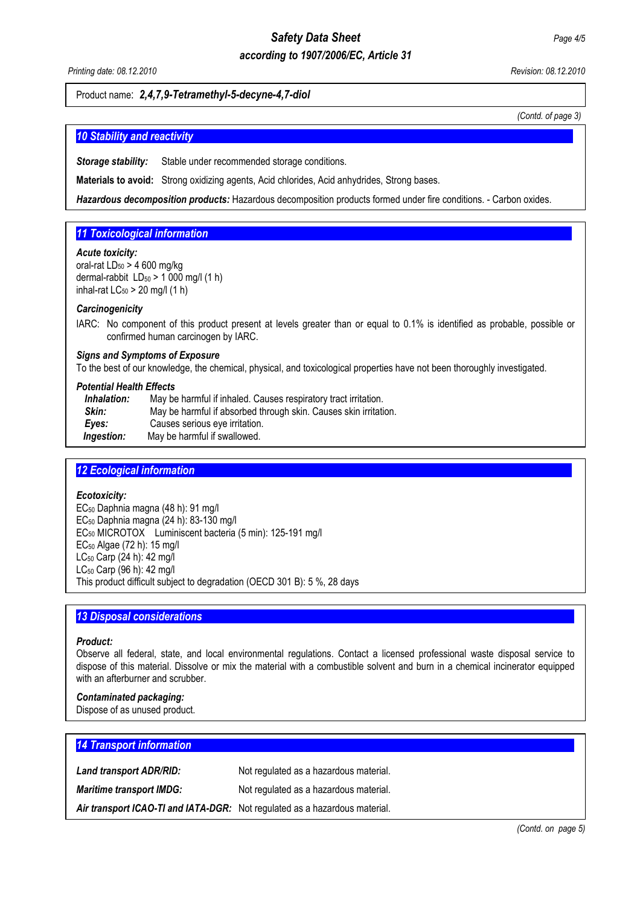# *Safety Data Sheet Page 4/5*

# *according to 1907/2006/EC, Article 31*

*Printing date: 08.12.2010 Revision: 08.12.2010* 

## Product name: *2,4,7,9-Tetramethyl-5-decyne-4,7-diol*

*(Contd. of page 3)* 

## **10 Stability and reactivity**

**Storage stability:** Stable under recommended storage conditions.

**Materials to avoid:** Strong oxidizing agents, Acid chlorides, Acid anhydrides, Strong bases.

*Hazardous decomposition products:* Hazardous decomposition products formed under fire conditions. - Carbon oxides.

# **11 Toxicological information**

#### *Acute toxicity:*

oral-rat  $LD_{50} > 4$  600 mg/kg dermal-rabbit  $LD_{50} > 1000$  mg/l (1 h) inhal-rat  $LC_{50}$  > 20 mg/l (1 h)

#### *Carcinogenicity*

IARC:No component of this product present at levels greater than or equal to 0.1% is identified as probable, possible or confirmed human carcinogen by IARC.

#### *Signs and Symptoms of Exposure*

To the best of our knowledge, the chemical, physical, and toxicological properties have not been thoroughly investigated.

#### *Potential Health Effects*

| Inhalation: | May be harmful if inhaled. Causes respiratory tract irritation.  |  |
|-------------|------------------------------------------------------------------|--|
| Skin:       | May be harmful if absorbed through skin. Causes skin irritation. |  |
| Eves:       | Causes serious eye irritation.                                   |  |
| Ingestion:  | May be harmful if swallowed.                                     |  |

## **12 Ecological information**

#### *Ecotoxicity:*

EC50 Daphnia magna (48 h): 91 mg/l EC50 Daphnia magna (24 h): 83-130 mg/l EC50 MICROTOX Luminiscent bacteria (5 min): 125-191 mg/l EC50 Algae (72 h): 15 mg/l LC50 Carp (24 h): 42 mg/l LC50 Carp (96 h): 42 mg/l This product difficult subject to degradation (OECD 301 B): 5 %, 28 days

## **13 Disposal considerations**

#### *Product:*

Observe all federal, state, and local environmental regulations. Contact a licensed professional waste disposal service to dispose of this material. Dissolve or mix the material with a combustible solvent and burn in a chemical incinerator equipped with an afterburner and scrubber.

### *Contaminated packaging:*

Dispose of as unused product.

| <b>14 Transport information</b> |                                                                            |
|---------------------------------|----------------------------------------------------------------------------|
| Land transport ADR/RID:         | Not regulated as a hazardous material.                                     |
| <b>Maritime transport IMDG:</b> | Not regulated as a hazardous material.                                     |
|                                 | Air transport ICAO-TI and IATA-DGR: Not regulated as a hazardous material. |